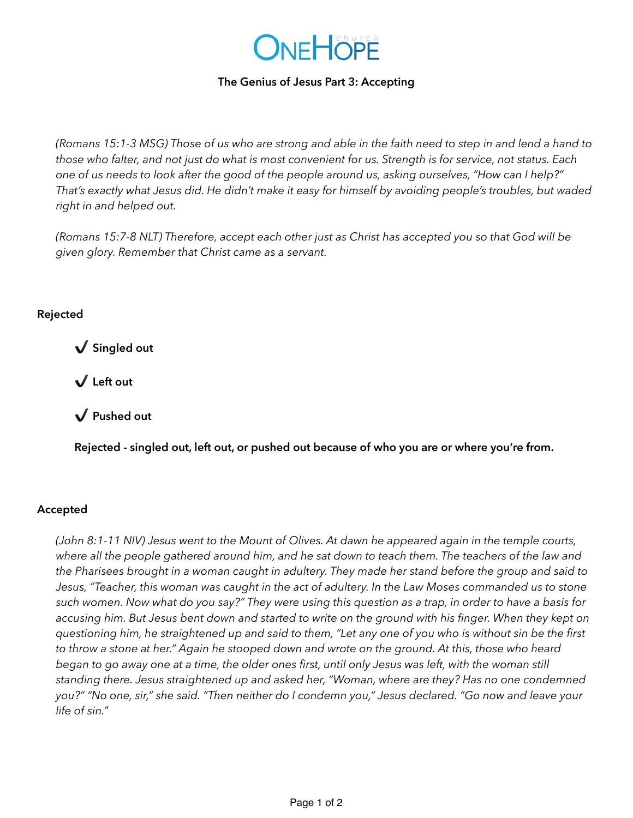

## **The Genius of Jesus Part 3: Accepting**

*(Romans 15:1-3 MSG) Those of us who are strong and able in the faith need to step in and lend a hand to those who falter, and not just do what is most convenient for us. Strength is for service, not status. Each one of us needs to look after the good of the people around us, asking ourselves, "How can I help?" That's exactly what Jesus did. He didn't make it easy for himself by avoiding people's troubles, but waded right in and helped out.*

*(Romans 15:7-8 NLT) Therefore, accept each other just as Christ has accepted you so that God will be given glory. Remember that Christ came as a servant.*

# **Rejected**

✔ **Singled out**

✔ **Left out**

✔ **Pushed out**

**Rejected - singled out, left out, or pushed out because of who you are or where you're from.** 

# **Accepted**

*(John 8:1-11 NIV) Jesus went to the Mount of Olives. At dawn he appeared again in the temple courts, where all the people gathered around him, and he sat down to teach them. The teachers of the law and the Pharisees brought in a woman caught in adultery. They made her stand before the group and said to Jesus, "Teacher, this woman was caught in the act of adultery. In the Law Moses commanded us to stone such women. Now what do you say?" They were using this question as a trap, in order to have a basis for accusing him. But Jesus bent down and started to write on the ground with his finger. When they kept on questioning him, he straightened up and said to them, "Let any one of you who is without sin be the first to throw a stone at her." Again he stooped down and wrote on the ground. At this, those who heard began to go away one at a time, the older ones first, until only Jesus was left, with the woman still standing there. Jesus straightened up and asked her, "Woman, where are they? Has no one condemned you?" "No one, sir," she said. "Then neither do I condemn you," Jesus declared. "Go now and leave your life of sin."*